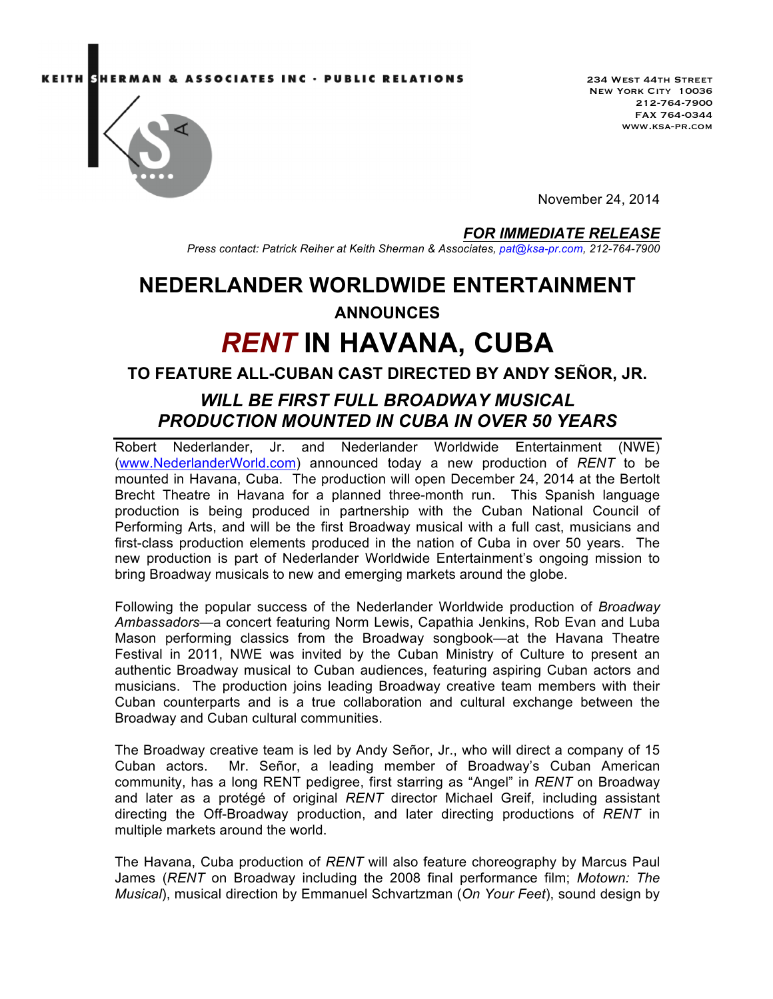ASSOCIATES INC · PUBLIC RELATIONS



234 West 44th Street New York City 10036 212-764-7900 FAX 764-0344 www.ksa-pr.com

November 24, 2014

#### *FOR IMMEDIATE RELEASE*

*Press contact: Patrick Reiher at Keith Sherman & Associates, pat@ksa-pr.com, 212-764-7900*

## **NEDERLANDER WORLDWIDE ENTERTAINMENT**

### **ANNOUNCES**

# *RENT* **IN HAVANA, CUBA**

### **TO FEATURE ALL-CUBAN CAST DIRECTED BY ANDY SEÑOR, JR.**

### *WILL BE FIRST FULL BROADWAY MUSICAL PRODUCTION MOUNTED IN CUBA IN OVER 50 YEARS*

Robert Nederlander, Jr. and Nederlander Worldwide Entertainment (NWE) (www.NederlanderWorld.com) announced today a new production of *RENT* to be mounted in Havana, Cuba. The production will open December 24, 2014 at the Bertolt Brecht Theatre in Havana for a planned three-month run. This Spanish language production is being produced in partnership with the Cuban National Council of Performing Arts, and will be the first Broadway musical with a full cast, musicians and first-class production elements produced in the nation of Cuba in over 50 years. The new production is part of Nederlander Worldwide Entertainment's ongoing mission to bring Broadway musicals to new and emerging markets around the globe.

Following the popular success of the Nederlander Worldwide production of *Broadway Ambassadors*—a concert featuring Norm Lewis, Capathia Jenkins, Rob Evan and Luba Mason performing classics from the Broadway songbook—at the Havana Theatre Festival in 2011, NWE was invited by the Cuban Ministry of Culture to present an authentic Broadway musical to Cuban audiences, featuring aspiring Cuban actors and musicians. The production joins leading Broadway creative team members with their Cuban counterparts and is a true collaboration and cultural exchange between the Broadway and Cuban cultural communities.

The Broadway creative team is led by Andy Señor, Jr., who will direct a company of 15 Cuban actors. Mr. Señor, a leading member of Broadway's Cuban American community, has a long RENT pedigree, first starring as "Angel" in *RENT* on Broadway and later as a protégé of original *RENT* director Michael Greif, including assistant directing the Off-Broadway production, and later directing productions of *RENT* in multiple markets around the world.

The Havana, Cuba production of *RENT* will also feature choreography by Marcus Paul James (*RENT* on Broadway including the 2008 final performance film; *Motown: The Musical*), musical direction by Emmanuel Schvartzman (*On Your Feet*), sound design by